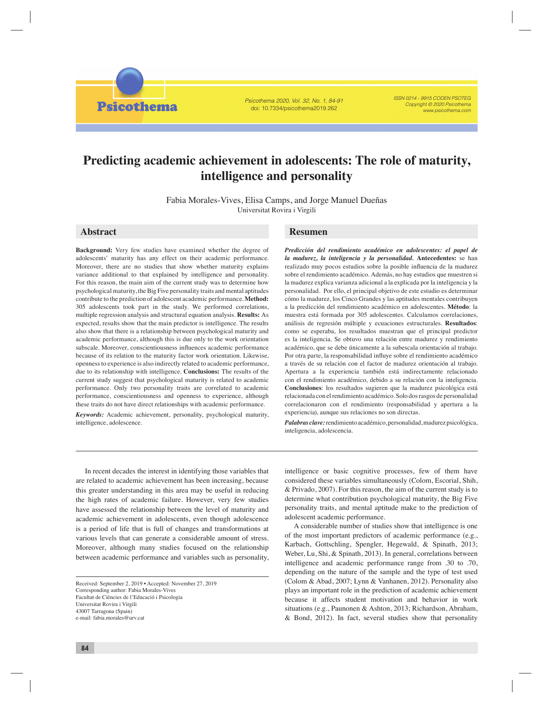Psicothema 2020, Vol. 32, No. 1, 84-91 doi: 10.7334/psicothema2019.262

ISSN 0214 - 9915 CODEN PSOTEG Copyright © 2020 Psicothema www.psicothema.com

# **Predicting academic achievement in adolescents: The role of maturity, intelligence and personality**

Fabia Morales-Vives, Elisa Camps, and Jorge Manuel Dueñas Universitat Rovira i Virgili

# **Abstract Resumen**

**Psicothema** 

**Background:** Very few studies have examined whether the degree of adolescents' maturity has any effect on their academic performance. Moreover, there are no studies that show whether maturity explains variance additional to that explained by intelligence and personality. For this reason, the main aim of the current study was to determine how psychological maturity, the Big Five personality traits and mental aptitudes contribute to the prediction of adolescent academic performance. **Method:** 305 adolescents took part in the study. We performed correlations, multiple regression analysis and structural equation analysis. **Results:** As expected, results show that the main predictor is intelligence. The results also show that there is a relationship between psychological maturity and academic performance, although this is due only to the work orientation subscale. Moreover, conscientiousness influences academic performance because of its relation to the maturity factor work orientation. Likewise, openness to experience is also indirectly related to academic performance, due to its relationship with intelligence. **Conclusions:** The results of the current study suggest that psychological maturity is related to academic performance. Only two personality traits are correlated to academic performance, conscientiousness and openness to experience, although these traits do not have direct relationships with academic performance.

*Keywords:* Academic achievement, personality, psychological maturity, intelligence, adolescence.

*Predicción del rendimiento académico en adolescentes: el papel de la madurez, la inteligencia y la personalidad.* **Antecedentes:** se han realizado muy pocos estudios sobre la posible influencia de la madurez sobre el rendimiento académico. Además, no hay estudios que muestren si la madurez explica varianza adicional a la explicada por la inteligencia y la personalidad. Por ello, el principal objetivo de este estudio es determinar cómo la madurez, los Cinco Grandes y las aptitudes mentales contribuyen a la predicción del rendimiento académico en adolescentes. **Método**: la muestra está formada por 305 adolescentes. Calculamos correlaciones, análisis de regresión múltiple y ecuaciones estructurales. **Resultados**: como se esperaba, los resultados muestran que el principal predictor es la inteligencia. Se obtuvo una relación entre madurez y rendimiento académico, que se debe únicamente a la subescala orientación al trabajo. Por otra parte, la responsabilidad influye sobre el rendimiento académico a través de su relación con el factor de madurez orientación al trabajo. Apertura a la experiencia también está indirectamente relacionado con el rendimiento académico, debido a su relación con la inteligencia. **Conclusiones**: los resultados sugieren que la madurez psicológica está relacionada con el rendimiento académico. Solo dos rasgos de personalidad correlacionaron con el rendimiento (responsabilidad y apertura a la experiencia), aunque sus relaciones no son directas.

*Palabras clave:* rendimiento académico, personalidad, madurez psicológica, inteligencia, adolescencia.

In recent decades the interest in identifying those variables that are related to academic achievement has been increasing, because this greater understanding in this area may be useful in reducing the high rates of academic failure. However, very few studies have assessed the relationship between the level of maturity and academic achievement in adolescents, even though adolescence is a period of life that is full of changes and transformations at various levels that can generate a considerable amount of stress. Moreover, although many studies focused on the relationship between academic performance and variables such as personality,

intelligence or basic cognitive processes, few of them have considered these variables simultaneously (Colom, Escorial, Shih, & Privado, 2007). For this reason, the aim of the current study is to determine what contribution psychological maturity, the Big Five personality traits, and mental aptitude make to the prediction of adolescent academic performance.

A considerable number of studies show that intelligence is one of the most important predictors of academic performance (e.g., Karbach, Gottschling, Spengler, Hegewald, & Spinath, 2013; Weber, Lu, Shi, & Spinath, 2013). In general, correlations between intelligence and academic performance range from .30 to .70, depending on the nature of the sample and the type of test used (Colom & Abad, 2007; Lynn & Vanhanen, 2012). Personality also plays an important role in the prediction of academic achievement because it affects student motivation and behavior in work situations (e.g., Paunonen & Ashton, 2013; Richardson, Abraham, & Bond, 2012). In fact, several studies show that personality

Received: September 2, 2019 • Accepted: November 27, 2019 Corresponding author: Fabia Morales-Vives Facultat de Ciències de l'Educació i Psicologia Universitat Rovira i Virgili 43007 Tarragona (Spain) e-mail: fabia.morales@urv.cat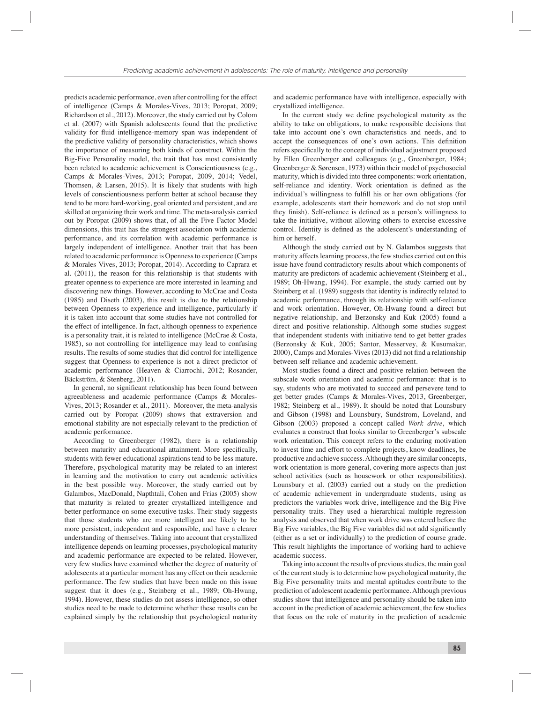predicts academic performance, even after controlling for the effect of intelligence (Camps & Morales-Vives, 2013; Poropat, 2009; Richardson et al., 2012). Moreover, the study carried out by Colom et al. (2007) with Spanish adolescents found that the predictive validity for fluid intelligence-memory span was independent of the predictive validity of personality characteristics, which shows the importance of measuring both kinds of construct. Within the Big-Five Personality model, the trait that has most consistently been related to academic achievement is Conscientiousness (e.g., Camps & Morales-Vives, 2013; Poropat, 2009, 2014; Vedel, Thomsen, & Larsen, 2015). It is likely that students with high levels of conscientiousness perform better at school because they tend to be more hard-working, goal oriented and persistent, and are skilled at organizing their work and time. The meta-analysis carried out by Poropat (2009) shows that, of all the Five Factor Model dimensions, this trait has the strongest association with academic performance, and its correlation with academic performance is largely independent of intelligence. Another trait that has been related to academic performance is Openness to experience (Camps & Morales-Vives, 2013; Poropat, 2014). According to Caprara et al. (2011), the reason for this relationship is that students with greater openness to experience are more interested in learning and discovering new things. However, according to McCrae and Costa (1985) and Diseth (2003), this result is due to the relationship between Openness to experience and intelligence, particularly if it is taken into account that some studies have not controlled for the effect of intelligence. In fact, although openness to experience is a personality trait, it is related to intelligence (McCrae & Costa, 1985), so not controlling for intelligence may lead to confusing results. The results of some studies that did control for intelligence suggest that Openness to experience is not a direct predictor of academic performance (Heaven & Ciarrochi, 2012; Rosander, Bäckström, & Stenberg, 2011).

In general, no significant relationship has been found between agreeableness and academic performance (Camps & Morales-Vives, 2013; Rosander et al., 2011). Moreover, the meta-analysis carried out by Poropat (2009) shows that extraversion and emotional stability are not especially relevant to the prediction of academic performance.

According to Greenberger (1982), there is a relationship between maturity and educational attainment. More specifically, students with fewer educational aspirations tend to be less mature. Therefore, psychological maturity may be related to an interest in learning and the motivation to carry out academic activities in the best possible way. Moreover, the study carried out by Galambos, MacDonald, Napthtali, Cohen and Frias (2005) show that maturity is related to greater crystallized intelligence and better performance on some executive tasks. Their study suggests that those students who are more intelligent are likely to be more persistent, independent and responsible, and have a clearer understanding of themselves. Taking into account that crystallized intelligence depends on learning processes, psychological maturity and academic performance are expected to be related. However, very few studies have examined whether the degree of maturity of adolescents at a particular moment has any effect on their academic performance. The few studies that have been made on this issue suggest that it does (e.g., Steinberg et al., 1989; Oh-Hwang, 1994). However, these studies do not assess intelligence, so other studies need to be made to determine whether these results can be explained simply by the relationship that psychological maturity

and academic performance have with intelligence, especially with crystallized intelligence.

In the current study we define psychological maturity as the ability to take on obligations, to make responsible decisions that take into account one's own characteristics and needs, and to accept the consequences of one's own actions. This definition refers specifically to the concept of individual adjustment proposed by Ellen Greenberger and colleagues (e.g., Greenberger, 1984; Greenberger & Sørensen, 1973) within their model of psychosocial maturity, which is divided into three components: work orientation, self-reliance and identity. Work orientation is defined as the individual's willingness to fulfill his or her own obligations (for example, adolescents start their homework and do not stop until they finish). Self-reliance is defined as a person's willingness to take the initiative, without allowing others to exercise excessive control. Identity is defined as the adolescent's understanding of him or herself.

Although the study carried out by N. Galambos suggests that maturity affects learning process, the few studies carried out on this issue have found contradictory results about which components of maturity are predictors of academic achievement (Steinberg et al., 1989; Oh-Hwang, 1994). For example, the study carried out by Steinberg et al. (1989) suggests that identity is indirectly related to academic performance, through its relationship with self-reliance and work orientation. However, Oh-Hwang found a direct but negative relationship, and Berzonsky and Kuk (2005) found a direct and positive relationship. Although some studies suggest that independent students with initiative tend to get better grades (Berzonsky & Kuk, 2005; Santor, Messervey, & Kusumakar, 2000), Camps and Morales-Vives (2013) did not find a relationship between self-reliance and academic achievement.

Most studies found a direct and positive relation between the subscale work orientation and academic performance: that is to say, students who are motivated to succeed and persevere tend to get better grades (Camps & Morales-Vives, 2013, Greenberger, 1982; Steinberg et al., 1989). It should be noted that Lounsbury and Gibson (1998) and Lounsbury, Sundstrom, Loveland, and Gibson (2003) proposed a concept called *Work drive*, which evaluates a construct that looks similar to Greenberger's subscale work orientation. This concept refers to the enduring motivation to invest time and effort to complete projects, know deadlines, be productive and achieve success. Although they are similar concepts, work orientation is more general, covering more aspects than just school activities (such as housework or other responsibilities). Lounsbury et al. (2003) carried out a study on the prediction of academic achievement in undergraduate students, using as predictors the variables work drive, intelligence and the Big Five personality traits. They used a hierarchical multiple regression analysis and observed that when work drive was entered before the Big Five variables, the Big Five variables did not add significantly (either as a set or individually) to the prediction of course grade. This result highlights the importance of working hard to achieve academic success.

Taking into account the results of previous studies, the main goal of the current study is to determine how psychological maturity, the Big Five personality traits and mental aptitudes contribute to the prediction of adolescent academic performance. Although previous studies show that intelligence and personality should be taken into account in the prediction of academic achievement, the few studies that focus on the role of maturity in the prediction of academic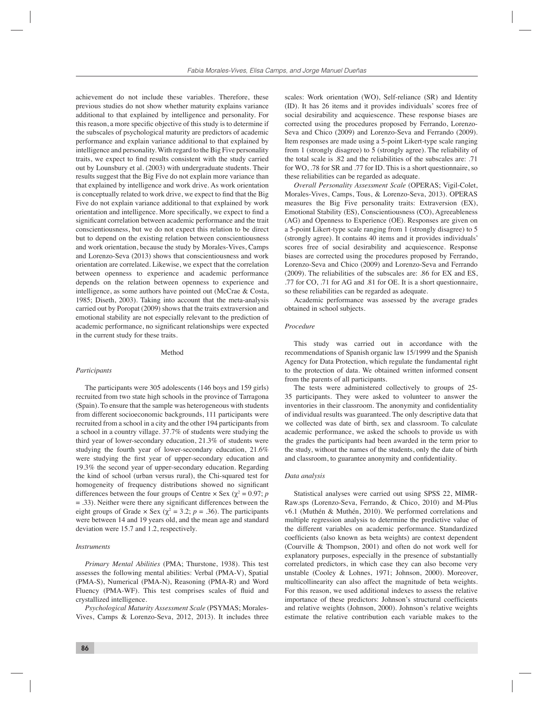achievement do not include these variables. Therefore, these previous studies do not show whether maturity explains variance additional to that explained by intelligence and personality. For this reason, a more specific objective of this study is to determine if the subscales of psychological maturity are predictors of academic performance and explain variance additional to that explained by intelligence and personality. With regard to the Big Five personality traits, we expect to find results consistent with the study carried out by Lounsbury et al. (2003) with undergraduate students. Their results suggest that the Big Five do not explain more variance than that explained by intelligence and work drive. As work orientation is conceptually related to work drive, we expect to find that the Big Five do not explain variance additional to that explained by work orientation and intelligence. More specifically, we expect to find a significant correlation between academic performance and the trait conscientiousness, but we do not expect this relation to be direct but to depend on the existing relation between conscientiousness and work orientation, because the study by Morales-Vives, Camps and Lorenzo-Seva (2013) shows that conscientiousness and work orientation are correlated. Likewise, we expect that the correlation between openness to experience and academic performance depends on the relation between openness to experience and intelligence, as some authors have pointed out (McCrae & Costa, 1985; Diseth, 2003). Taking into account that the meta-analysis carried out by Poropat (2009) shows that the traits extraversion and emotional stability are not especially relevant to the prediction of academic performance, no significant relationships were expected in the current study for these traits.

#### Method

### *Participants*

The participants were 305 adolescents (146 boys and 159 girls) recruited from two state high schools in the province of Tarragona (Spain). To ensure that the sample was heterogeneous with students from different socioeconomic backgrounds, 111 participants were recruited from a school in a city and the other 194 participants from a school in a country village. 37.7% of students were studying the third year of lower-secondary education, 21.3% of students were studying the fourth year of lower-secondary education, 21.6% were studying the first year of upper-secondary education and 19.3% the second year of upper-secondary education. Regarding the kind of school (urban versus rural), the Chi-squared test for homogeneity of frequency distributions showed no significant differences between the four groups of Centre  $\times$  Sex ( $\chi^2$  = 0.97; *p*  $=$  .33). Neither were there any significant differences between the eight groups of Grade  $\times$  Sex ( $\chi^2 = 3.2$ ;  $p = .36$ ). The participants were between 14 and 19 years old, and the mean age and standard deviation were 15.7 and 1.2, respectively.

#### *Instruments*

*Primary Mental Abilities* (PMA; Thurstone, 1938). This test assesses the following mental abilities: Verbal (PMA-V), Spatial (PMA-S), Numerical (PMA-N), Reasoning (PMA-R) and Word Fluency (PMA-WF). This test comprises scales of fluid and crystallized intelligence.

*Psychological Maturity Assessment Scale* (PSYMAS; Morales-Vives, Camps & Lorenzo-Seva, 2012, 2013). It includes three scales: Work orientation (WO), Self-reliance (SR) and Identity (ID). It has 26 items and it provides individuals' scores free of social desirability and acquiescence. These response biases are corrected using the procedures proposed by Ferrando, Lorenzo-Seva and Chico (2009) and Lorenzo-Seva and Ferrando (2009). Item responses are made using a 5-point Likert-type scale ranging from 1 (strongly disagree) to 5 (strongly agree). The reliability of the total scale is .82 and the reliabilities of the subscales are: .71 for WO, .78 for SR and .77 for ID. This is a short questionnaire, so these reliabilities can be regarded as adequate.

*Overall Personality Assessment Scale* (OPERAS; Vigil-Colet, Morales-Vives, Camps, Tous, & Lorenzo-Seva, 2013). OPERAS measures the Big Five personality traits: Extraversion (EX), Emotional Stability (ES), Conscientiousness (CO), Agreeableness (AG) and Openness to Experience (OE). Responses are given on a 5-point Likert-type scale ranging from 1 (strongly disagree) to 5 (strongly agree). It contains 40 items and it provides individuals' scores free of social desirability and acquiescence. Response biases are corrected using the procedures proposed by Ferrando, Lorenzo-Seva and Chico (2009) and Lorenzo-Seva and Ferrando (2009). The reliabilities of the subscales are: .86 for EX and ES, .77 for CO, .71 for AG and .81 for OE. It is a short questionnaire, so these reliabilities can be regarded as adequate.

Academic performance was assessed by the average grades obtained in school subjects.

### *Procedure*

This study was carried out in accordance with the recommendations of Spanish organic law 15/1999 and the Spanish Agency for Data Protection, which regulate the fundamental right to the protection of data. We obtained written informed consent from the parents of all participants.

The tests were administered collectively to groups of 25- 35 participants. They were asked to volunteer to answer the inventories in their classroom. The anonymity and confidentiality of individual results was guaranteed. The only descriptive data that we collected was date of birth, sex and classroom. To calculate academic performance, we asked the schools to provide us with the grades the participants had been awarded in the term prior to the study, without the names of the students, only the date of birth and classroom, to guarantee anonymity and confidentiality.

#### *Data analysis*

Statistical analyses were carried out using SPSS 22, MIMR-Raw.sps (Lorenzo-Seva, Ferrando, & Chico, 2010) and M-Plus v6.1 (Muthén & Muthén, 2010). We performed correlations and multiple regression analysis to determine the predictive value of the different variables on academic performance. Standardized coefficients (also known as beta weights) are context dependent (Courville & Thompson, 2001) and often do not work well for explanatory purposes, especially in the presence of substantially correlated predictors, in which case they can also become very unstable (Cooley & Lohnes, 1971; Johnson, 2000). Moreover, multicollinearity can also affect the magnitude of beta weights. For this reason, we used additional indexes to assess the relative importance of these predictors: Johnson's structural coefficients and relative weights (Johnson, 2000). Johnson's relative weights estimate the relative contribution each variable makes to the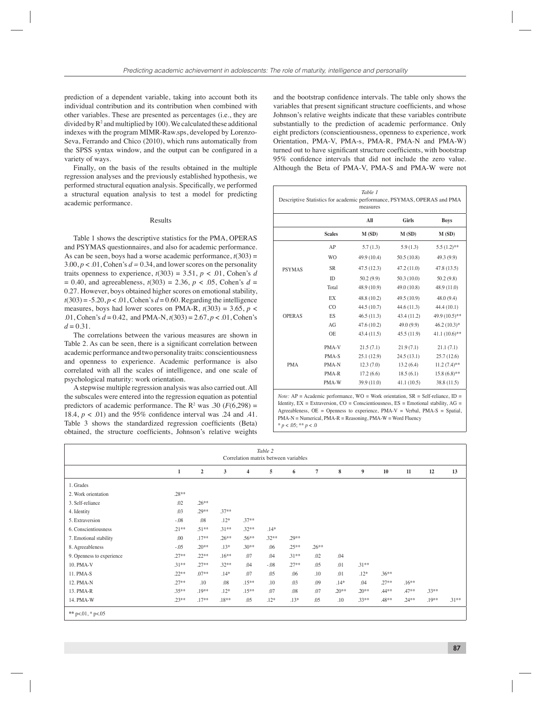prediction of a dependent variable, taking into account both its individual contribution and its contribution when combined with other variables. These are presented as percentages (i.e., they are divided by  $R^2$  and multiplied by 100). We calculated these additional indexes with the program MIMR-Raw.sps, developed by Lorenzo-Seva, Ferrando and Chico (2010), which runs automatically from the SPSS syntax window, and the output can be configured in a variety of ways.

Finally, on the basis of the results obtained in the multiple regression analyses and the previously established hypothesis, we performed structural equation analysis. Specifically, we performed a structural equation analysis to test a model for predicting academic performance.

## Results

Table 1 shows the descriptive statistics for the PMA, OPERAS and PSYMAS questionnaires, and also for academic performance. As can be seen, boys had a worse academic performance,  $t(303)$  =  $3.00, p < .01$ , Cohen's  $d = 0.34$ , and lower scores on the personality traits openness to experience,  $t(303) = 3.51$ ,  $p < .01$ , Cohen's *d*  $= 0.40$ , and agreeableness,  $t(303) = 2.36$ ,  $p < .05$ , Cohen's  $d =$ 0.27. However, boys obtained higher scores on emotional stability,  $t(303) = -5.20$ ,  $p < .01$ , Cohen's  $d = 0.60$ . Regarding the intelligence measures, boys had lower scores on PMA-R,  $t(303) = 3.65$ ,  $p <$ .01, Cohen's  $d = 0.42$ , and PMA-N,  $t(303) = 2.67$ ,  $p < .01$ , Cohen's  $d = 0.31$ .

The correlations between the various measures are shown in Table 2. As can be seen, there is a significant correlation between academic performance and two personality traits: conscientiousness and openness to experience. Academic performance is also correlated with all the scales of intelligence, and one scale of psychological maturity: work orientation.

A stepwise multiple regression analysis was also carried out. All the subscales were entered into the regression equation as potential predictors of academic performance. The  $R^2$  was .30 ( $F(6,298) =$ 18.4,  $p < .01$ ) and the 95% confidence interval was .24 and .41. Table 3 shows the standardized regression coefficients (Beta) obtained, the structure coefficients, Johnson's relative weights

and the bootstrap confidence intervals. The table only shows the variables that present significant structure coefficients, and whose Johnson's relative weights indicate that these variables contribute substantially to the prediction of academic performance. Only eight predictors (conscientiousness, openness to experience, work Orientation, PMA-V, PMA-s, PMA-R, PMA-N and PMA-W) turned out to have significant structure coefficients, with bootstrap 95% confidence intervals that did not include the zero value. Although the Beta of PMA-V, PMA-S and PMA-W were not

| Table 1<br>Descriptive Statistics for academic performance, PSYMAS, OPERAS and PMA<br>measures |                |             |             |                  |  |  |  |  |  |
|------------------------------------------------------------------------------------------------|----------------|-------------|-------------|------------------|--|--|--|--|--|
|                                                                                                |                | All         | Girls       | <b>Boys</b>      |  |  |  |  |  |
|                                                                                                | <b>Scales</b>  | M(SD)       | M(SD)       | M(SD)            |  |  |  |  |  |
|                                                                                                | AP             | 5.7(1.3)    | 5.9(1.3)    | $5.5(1.2)$ **    |  |  |  |  |  |
|                                                                                                | <b>WO</b>      | 49.9 (10.4) | 50.5(10.8)  | 49.3 (9.9)       |  |  |  |  |  |
| <b>PSYMAS</b>                                                                                  | <b>SR</b>      | 47.5(12.3)  | 47.2(11.0)  | 47.8(13.5)       |  |  |  |  |  |
|                                                                                                | ID             | 50.2(9.9)   | 50.3(10.0)  | 50.2(9.8)        |  |  |  |  |  |
|                                                                                                | Total          | 48.9 (10.9) | 49.0 (10.8) | 48.9 (11.0)      |  |  |  |  |  |
|                                                                                                | <b>EX</b>      | 48.8 (10.2) | 49.5 (10.9) | 48.0(9.4)        |  |  |  |  |  |
|                                                                                                | C <sub>O</sub> | 44.5 (10.7) | 44.6(11.3)  | 44.4(10.1)       |  |  |  |  |  |
| <b>OPERAS</b>                                                                                  | ES             | 46.5(11.3)  | 43.4 (11.2) | 49.9 (10.5)**    |  |  |  |  |  |
|                                                                                                | AG             | 47.6(10.2)  | 49.0(9.9)   | $46.2(10.3)*$    |  |  |  |  |  |
|                                                                                                | <b>OE</b>      | 43.4 (11.5) | 45.5(11.9)  | 41.1 $(10.6)$ ** |  |  |  |  |  |
|                                                                                                | PMA-V          | 21.5(7.1)   | 21.9(7.1)   | 21.1(7.1)        |  |  |  |  |  |
|                                                                                                | PMA-S          | 25.1(12.9)  | 24.5(13.1)  | 25.7(12.6)       |  |  |  |  |  |
| <b>PMA</b>                                                                                     | PMA-N          | 12.3(7.0)   | 13.2(6.4)   | $11.2 (7.4)$ **  |  |  |  |  |  |
|                                                                                                | PMA-R          | 17.2(6.6)   | 18.5(6.1)   | $15.8(6.8)$ **   |  |  |  |  |  |
|                                                                                                | PMA-W          | 39.9 (11.0) | 41.1(10.5)  | 38.8 (11.5)      |  |  |  |  |  |

*Note:*  $AP = Academic$  performance,  $WO = Work$  orientation,  $SR = Self$ -reliance,  $ID =$ Identity,  $EX = Extaversion$ ,  $CO = Conscientiousness$ ,  $ES = Emotional stability$ ,  $AG =$ Agreeableness, OE = Openness to experience, PMA-V = Verbal, PMA-S = Spatial, PMA-N = Numerical, PMA-R = Reasoning, PMA-W = Word Fluency \* *p* < .05; \*\* *p* < .0

|                           | Table 2<br>Correlation matrix between variables |                         |          |          |         |          |         |         |          |          |          |          |          |
|---------------------------|-------------------------------------------------|-------------------------|----------|----------|---------|----------|---------|---------|----------|----------|----------|----------|----------|
|                           | $\mathbf{1}$                                    | $\overline{\mathbf{c}}$ | 3        | 4        | 5       | 6        | 7       | 8       | 9        | 10       | $11\,$   | 12       | 13       |
| 1. Grades                 |                                                 |                         |          |          |         |          |         |         |          |          |          |          |          |
| 2. Work orientation       | $.28**$                                         |                         |          |          |         |          |         |         |          |          |          |          |          |
| 3. Self-reliance          | .02                                             | $.26***$                |          |          |         |          |         |         |          |          |          |          |          |
| 4. Identity               | .03                                             | $.29**$                 | $.37**$  |          |         |          |         |         |          |          |          |          |          |
| 5. Extraversion           | $-0.08$                                         | .08                     | $.12*$   | $.37**$  |         |          |         |         |          |          |          |          |          |
| 6. Conscientiousness      | $.21**$                                         | $.51***$                | $.31***$ | $.32**$  | $.14*$  |          |         |         |          |          |          |          |          |
| 7. Emotional stability    | .00                                             | $.17**$                 | $.26***$ | $.56***$ | $.32**$ | $.29**$  |         |         |          |          |          |          |          |
| 8. Agreeableness          | $-0.5$                                          | $.20**$                 | $.13*$   | $.30**$  | .06     | $.25***$ | $.26**$ |         |          |          |          |          |          |
| 9. Openness to experience | $.27**$                                         | $.22**$                 | $.16***$ | .07      | .04     | $.31***$ | .02     | .04     |          |          |          |          |          |
| 10. PMA-V                 | $.31***$                                        | $.27**$                 | $.32**$  | .04      | $-.08$  | $.27**$  | .05     | .01     | $.31***$ |          |          |          |          |
| 11. PMA-S                 | $.22**$                                         | $.07**$                 | $.14*$   | .07      | .05     | .06      | .10     | .01     | $.12*$   | $.36***$ |          |          |          |
| 12. PMA-N                 | $.27**$                                         | .10                     | .08      | $.15***$ | .10     | .03      | .09     | $.14*$  | .04      | $.27**$  | $.16**$  |          |          |
| 13. PMA-R                 | $.35***$                                        | $.19**$                 | $.12*$   | $.15***$ | .07     | .08      | .07     | $.20**$ | $.20**$  | $.44***$ | $.47**$  | $.33***$ |          |
| 14. PMA-W                 | $.23**$                                         | $.17**$                 | $.18**$  | .05      | $.12*$  | $.13*$   | .05     | .10     | $.33**$  | $.48**$  | $.24***$ | $.19**$  | $.31***$ |
| ** $p<.01$ , * $p<.05$    |                                                 |                         |          |          |         |          |         |         |          |          |          |          |          |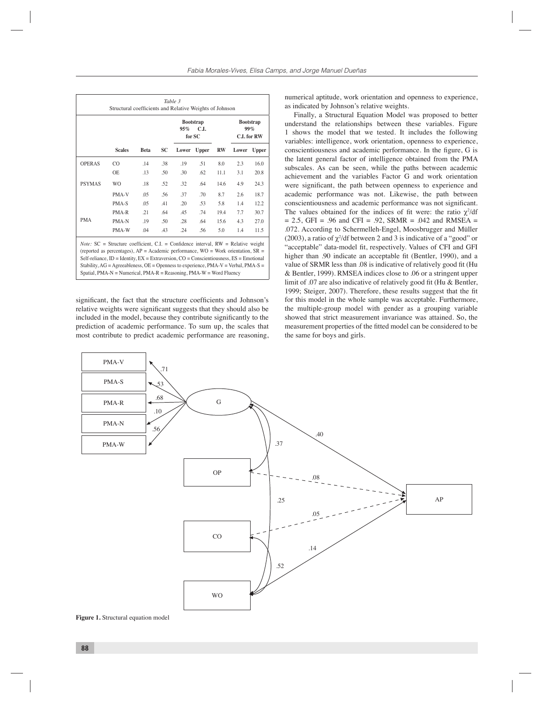|               |                                                                                                                                                                                                                                                                                                                                                                                                                                                           |             |           | <b>Bootstrap</b><br>C.I.<br>95%<br>for SC |              |      | <b>Bootstrap</b><br>99%<br><b>C.I.</b> for RW |              |  |
|---------------|-----------------------------------------------------------------------------------------------------------------------------------------------------------------------------------------------------------------------------------------------------------------------------------------------------------------------------------------------------------------------------------------------------------------------------------------------------------|-------------|-----------|-------------------------------------------|--------------|------|-----------------------------------------------|--------------|--|
|               | <b>Scales</b>                                                                                                                                                                                                                                                                                                                                                                                                                                             | <b>Beta</b> | <b>SC</b> | Lower                                     | <b>Upper</b> | $RW$ | Lower                                         | <b>Upper</b> |  |
| <b>OPERAS</b> | CO                                                                                                                                                                                                                                                                                                                                                                                                                                                        | .14         | .38       | .19                                       | .51          | 8.0  | 2.3                                           | 16.0         |  |
|               | OE.                                                                                                                                                                                                                                                                                                                                                                                                                                                       | .13         | .50       | .30                                       | .62          | 11.1 | 3.1                                           | 20.8         |  |
| <b>PSYMAS</b> | W <sub>O</sub>                                                                                                                                                                                                                                                                                                                                                                                                                                            | .18         | .52       | .32                                       | .64          | 14.6 | 4.9                                           | 24.3         |  |
|               | PMA-V                                                                                                                                                                                                                                                                                                                                                                                                                                                     | .05         | .56       | .37                                       | .70          | 8.7  | 2.6                                           | 18.7         |  |
|               | PMA-S                                                                                                                                                                                                                                                                                                                                                                                                                                                     | .05         | .41       | .20                                       | .53          | 5.8  | 1.4                                           | 12.2         |  |
| <b>PMA</b>    | PMA-R                                                                                                                                                                                                                                                                                                                                                                                                                                                     | .21         | .64       | <b>45</b>                                 | .74          | 19.4 | 7.7                                           | 30.7         |  |
|               | PMA-N                                                                                                                                                                                                                                                                                                                                                                                                                                                     | .19         | .50       | .28                                       | .64          | 15.6 | 4.3                                           | 27.0         |  |
|               | PMA-W                                                                                                                                                                                                                                                                                                                                                                                                                                                     | .04         | .43       | .24                                       | .56          | 5.0  | 1.4                                           | 11.5         |  |
|               | <i>Note:</i> $SC =$ Structure coefficient, $CL =$ Confidence interval, $RW =$ Relative weight<br>(reported as percentages), $AP = Academic$ performance, $WO = Work$ orientation, $SR =$<br>Self-reliance, ID = Identity, $EX = Extraversion$ , $CO = Conscientiousness$ , $ES = Emotional$<br>Stability, AG = Agreeableness, OE = Openness to experience, PMA-V = Verbal, PMA-S =<br>Spatial, PMA-N = Numerical, PMA-R = Reasoning, PMA-W = Word Fluency |             |           |                                           |              |      |                                               |              |  |

significant, the fact that the structure coefficients and Johnson's relative weights were significant suggests that they should also be included in the model, because they contribute significantly to the prediction of academic performance. To sum up, the scales that most contribute to predict academic performance are reasoning, numerical aptitude, work orientation and openness to experience, as indicated by Johnson's relative weights.

Finally, a Structural Equation Model was proposed to better understand the relationships between these variables. Figure 1 shows the model that we tested. It includes the following variables: intelligence, work orientation, openness to experience, conscientiousness and academic performance. In the figure, G is the latent general factor of intelligence obtained from the PMA subscales. As can be seen, while the paths between academic achievement and the variables Factor G and work orientation were significant, the path between openness to experience and academic performance was not. Likewise, the path between conscientiousness and academic performance was not significant. The values obtained for the indices of fit were: the ratio  $\chi^2/df$  $= 2.5$ , GFI = .96 and CFI = .92, SRMR = .042 and RMSEA = .072. According to Schermelleh-Engel, Moosbrugger and Müller (2003), a ratio of  $\chi^2$ /df between 2 and 3 is indicative of a "good" or "acceptable" data-model fit, respectively. Values of CFI and GFI higher than .90 indicate an acceptable fit (Bentler, 1990), and a value of SRMR less than .08 is indicative of relatively good fit (Hu & Bentler, 1999). RMSEA indices close to .06 or a stringent upper limit of .07 are also indicative of relatively good fit (Hu  $&$  Bentler, 1999; Steiger, 2007). Therefore, these results suggest that the fit for this model in the whole sample was acceptable. Furthermore, the multiple-group model with gender as a grouping variable showed that strict measurement invariance was attained. So, the measurement properties of the fitted model can be considered to be the same for boys and girls.



**Figure 1.** Structural equation model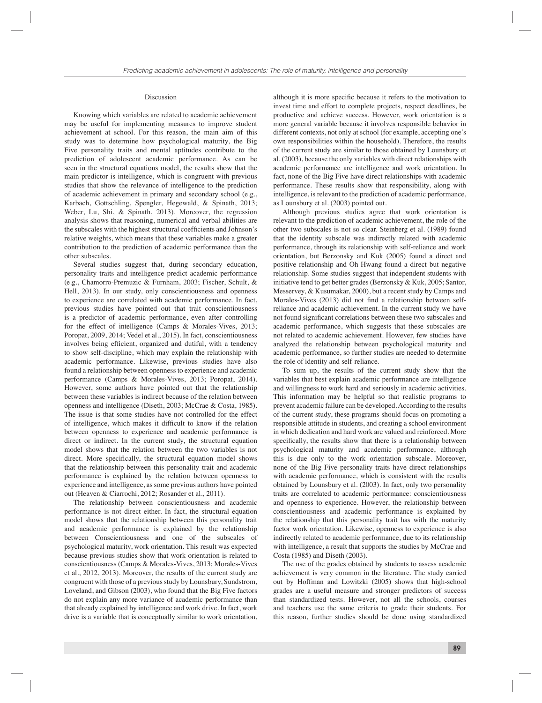#### Discussion

Knowing which variables are related to academic achievement may be useful for implementing measures to improve student achievement at school. For this reason, the main aim of this study was to determine how psychological maturity, the Big Five personality traits and mental aptitudes contribute to the prediction of adolescent academic performance. As can be seen in the structural equations model, the results show that the main predictor is intelligence, which is congruent with previous studies that show the relevance of intelligence to the prediction of academic achievement in primary and secondary school (e.g., Karbach, Gottschling, Spengler, Hegewald, & Spinath, 2013; Weber, Lu, Shi, & Spinath, 2013). Moreover, the regression analysis shows that reasoning, numerical and verbal abilities are the subscales with the highest structural coefficients and Johnson's relative weights, which means that these variables make a greater contribution to the prediction of academic performance than the other subscales.

Several studies suggest that, during secondary education, personality traits and intelligence predict academic performance (e.g., Chamorro-Premuzic & Furnham, 2003; Fischer, Schult, & Hell, 2013). In our study, only conscientiousness and openness to experience are correlated with academic performance. In fact, previous studies have pointed out that trait conscientiousness is a predictor of academic performance, even after controlling for the effect of intelligence (Camps & Morales-Vives, 2013; Poropat, 2009, 2014; Vedel et al., 2015). In fact, conscientiousness involves being efficient, organized and dutiful, with a tendency to show self-discipline, which may explain the relationship with academic performance. Likewise, previous studies have also found a relationship between openness to experience and academic performance (Camps & Morales-Vives, 2013; Poropat, 2014). However, some authors have pointed out that the relationship between these variables is indirect because of the relation between openness and intelligence (Diseth, 2003; McCrae & Costa, 1985). The issue is that some studies have not controlled for the effect of intelligence, which makes it difficult to know if the relation between openness to experience and academic performance is direct or indirect. In the current study, the structural equation model shows that the relation between the two variables is not direct. More specifically, the structural equation model shows that the relationship between this personality trait and academic performance is explained by the relation between openness to experience and intelligence, as some previous authors have pointed out (Heaven & Ciarrochi, 2012; Rosander et al., 2011).

The relationship between conscientiousness and academic performance is not direct either. In fact, the structural equation model shows that the relationship between this personality trait and academic performance is explained by the relationship between Conscientiousness and one of the subscales of psychological maturity, work orientation. This result was expected because previous studies show that work orientation is related to conscientiousness (Camps & Morales-Vives, 2013; Morales-Vives et al., 2012, 2013). Moreover, the results of the current study are congruent with those of a previous study by Lounsbury, Sundstrom, Loveland, and Gibson (2003), who found that the Big Five factors do not explain any more variance of academic performance than that already explained by intelligence and work drive. In fact, work drive is a variable that is conceptually similar to work orientation,

although it is more specific because it refers to the motivation to invest time and effort to complete projects, respect deadlines, be productive and achieve success. However, work orientation is a more general variable because it involves responsible behavior in different contexts, not only at school (for example, accepting one's own responsibilities within the household). Therefore, the results of the current study are similar to those obtained by Lounsbury et al. (2003), because the only variables with direct relationships with academic performance are intelligence and work orientation. In fact, none of the Big Five have direct relationships with academic performance. These results show that responsibility, along with intelligence, is relevant to the prediction of academic performance, as Lounsbury et al. (2003) pointed out.

Although previous studies agree that work orientation is relevant to the prediction of academic achievement, the role of the other two subscales is not so clear. Steinberg et al. (1989) found that the identity subscale was indirectly related with academic performance, through its relationship with self-reliance and work orientation, but Berzonsky and Kuk (2005) found a direct and positive relationship and Oh-Hwang found a direct but negative relationship. Some studies suggest that independent students with initiative tend to get better grades (Berzonsky & Kuk, 2005; Santor, Messervey, & Kusumakar, 2000), but a recent study by Camps and Morales-Vives (2013) did not find a relationship between selfreliance and academic achievement. In the current study we have not found significant correlations between these two subscales and academic performance, which suggests that these subscales are not related to academic achievement. However, few studies have analyzed the relationship between psychological maturity and academic performance, so further studies are needed to determine the role of identity and self-reliance.

To sum up, the results of the current study show that the variables that best explain academic performance are intelligence and willingness to work hard and seriously in academic activities. This information may be helpful so that realistic programs to prevent academic failure can be developed. According to the results of the current study, these programs should focus on promoting a responsible attitude in students, and creating a school environment in which dedication and hard work are valued and reinforced. More specifically, the results show that there is a relationship between psychological maturity and academic performance, although this is due only to the work orientation subscale. Moreover, none of the Big Five personality traits have direct relationships with academic performance, which is consistent with the results obtained by Lounsbury et al. (2003). In fact, only two personality traits are correlated to academic performance: conscientiousness and openness to experience. However, the relationship between conscientiousness and academic performance is explained by the relationship that this personality trait has with the maturity factor work orientation. Likewise, openness to experience is also indirectly related to academic performance, due to its relationship with intelligence, a result that supports the studies by McCrae and Costa (1985) and Diseth (2003).

The use of the grades obtained by students to assess academic achievement is very common in the literature. The study carried out by Hoffman and Lowitzki (2005) shows that high-school grades are a useful measure and stronger predictors of success than standardized tests. However, not all the schools, courses and teachers use the same criteria to grade their students. For this reason, further studies should be done using standardized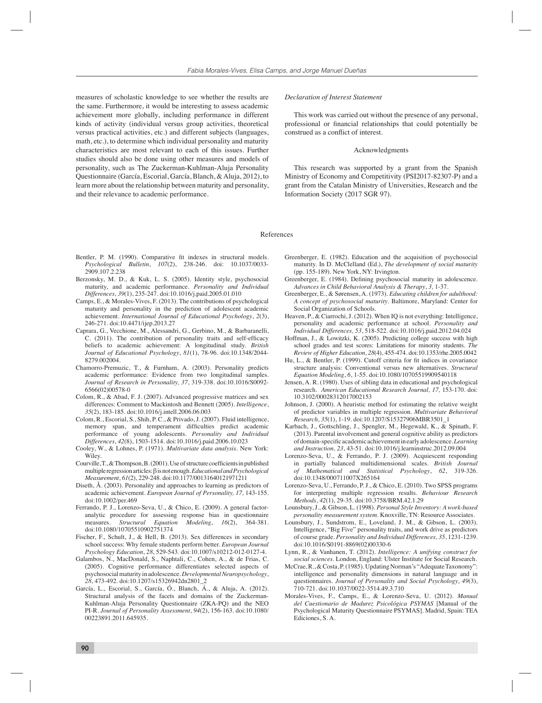measures of scholastic knowledge to see whether the results are the same. Furthermore, it would be interesting to assess academic achievement more globally, including performance in different kinds of activity (individual versus group activities, theoretical versus practical activities, etc.) and different subjects (languages, math, etc.), to determine which individual personality and maturity characteristics are most relevant to each of this issues. Further studies should also be done using other measures and models of personality, such as The Zuckerman-Kuhlman-Aluja Personality Questionnaire (García, Escorial, García, Blanch, & Aluja, 2012), to learn more about the relationship between maturity and personality, and their relevance to academic performance.

#### *Declaration of Interest Statement*

This work was carried out without the presence of any personal, professional or financial relationships that could potentially be construed as a conflict of interest.

#### Acknowledgments

This research was supported by a grant from the Spanish Ministry of Economy and Competitivity (PSI2017-82307-P) and a grant from the Catalan Ministry of Universities, Research and the Information Society (2017 SGR 97).

References

- Bentler, P. M. (1990). Comparative fit indexes in structural models. *Psychological Bulletin*, *107*(2), 238-246. doi: 10.1037/0033- 2909.107.2.238
- Berzonsky, M. D., & Kuk, L. S. (2005). Identity style, psychosocial maturity, and academic performance. *Personality and Individual Differences*, *39*(1), 235-247. doi:10.1016/j.paid.2005.01.010
- Camps, E., & Morales-Vives, F. (2013). The contributions of psychological maturity and personality in the prediction of adolescent academic achievement. *International Journal of Educational Psychology*, *2*(3), 246-271. doi:10.4471/ijep.2013.27
- Caprara, G., Vecchione, M., Alessandri, G., Gerbino, M., & Barbaranelli, C. (2011). The contribution of personality traits and self-efficacy beliefs to academic achievement: A longitudinal study. *British Journal of Educational Psychology*, *81*(1), 78-96. doi:10.1348/2044- 8279.002004.
- Chamorro-Premuzic, T., & Furnham, A. (2003). Personality predicts academic performance: Evidence from two longitudinal samples. *Journal of Research in Personality, 37*, 319-338. doi:10.1016/S0092- 6566(02)00578-0
- Colom, R., & Abad, F. J. (2007). Advanced progressive matrices and sex differences: Comment to Mackintosh and Bennett (2005). *Intelligence*, *35*(2), 183-185. doi:10.1016/j.intell.2006.06.003
- Colom, R., Escorial, S., Shih, P. C., & Privado, J. (2007). Fluid intelligence, memory span, and temperament difficulties predict academic performance of young adolescents. *Personality and Individual Differences*, *42*(8), 1503-1514. doi:10.1016/j.paid.2006.10.023
- Cooley, W., & Lohnes, P. (1971). *Multivariate data analysis*. New York: Wiley.
- Courville, T., & Thompson, B. (2001). Use of structure coefficients in published multiple regression articles: β is not enough. *Educational and Psychological Measurement*, *61*(2), 229-248. doi:10.1177/00131640121971211
- Diseth, Å. (2003). Personality and approaches to learning as predictors of academic achievement. *European Journal of Personality, 17,* 143-155. doi:10.1002/per.469
- Ferrando, P. J., Lorenzo-Seva, U., & Chico, E. (2009). A general factoranalytic procedure for assessing response bias in questionnaire measures. *Structural Equation Modeling*, *16*(2), 364-381. doi:10.1080/10705510902751374
- Fischer, F., Schult, J., & Hell, B. (2013). Sex differences in secondary school success: Why female students perform better. *European Journal Psychology Education*, *28*, 529-543. doi:10.1007/s10212-012-0127-4.
- Galambos, N., MacDonald, S., Naphtali, C., Cohen, A., & de Frias, C. (2005). Cognitive performance differentiates selected aspects of psychosocial maturity in adolescence. *Developmental Neuropsychology*, *28*, 473-492. doi:10.1207/s15326942dn2801\_2
- García, L., Escorial, S., García, Ó., Blanch, Á., & Aluja, A. (2012). Structural analysis of the facets and domains of the Zuckerman-Kuhlman-Aluja Personality Questionnaire (ZKA-PQ) and the NEO PI-R. *Journal of Personality Assessment*, *94*(2), 156-163. doi:10.1080/ 00223891.2011.645935.
- Greenberger, E. (1982). Education and the acquisition of psychosocial maturity. In D. McClelland (Ed.), *The development of social maturity* (pp. 155-189). New York, NY: Irvington.
- Greenberger, E. (1984). Defining psychosocial maturity in adolescence. *Advances in Child Behavioral Analysis & Therapy*, *3,* 1-37.
- Greenberger, E., & Sørensen, A. (1973). *Educating children for adulthood: A concept of psychosocial maturity*. Baltimore, Maryland: Center for Social Organization of Schools.
- Heaven, P., & Ciarrochi, J. (2012). When IQ is not everything: Intelligence, personality and academic performance at school. *Personality and Individual Differences, 53*, 518-522. doi:10.1016/j.paid.2012.04.024
- Hoffman, J., & Lowitzki, K. (2005). Predicting college success with high school grades and test scores: Limitations for minority students. *The Review of Higher Education*, *28*(4), 455-474. doi:10.1353/rhe.2005.0042
- Hu, L., & Bentler, P. (1999). Cutoff criteria for fit indices in covariance structure analysis: Conventional versus new alternatives. *Structural Equation Modeling*, *6*, 1-55. doi:10.1080/10705519909540118
- Jensen, A. R. (1980). Uses of sibling data in educational and psychological research. *American Educational Research Journal, 17,* 153-170. doi: 10.3102/00028312017002153
- Johnson, J. (2000). A heuristic method for estimating the relative weight of predictor variables in multiple regression. *Multivariate Behavioral Research*, *35*(1), 1-19. doi:10.1207/S15327906MBR3501\_1
- Karbach, J., Gottschling, J., Spengler, M., Hegewald, K., & Spinath, F. (2013). Parental involvement and general cognitive ability as predictors of domain-specific academic achievement in early adolescence. *Learning and Instruction, 23*, 43-51. doi:10.1016/j.learninstruc.2012.09.004
- Lorenzo-Seva, U., & Ferrando, P. J. (2009). Acquiescent responding in partially balanced multidimensional scales. *British Journal of Mathematical and Statistical Psychology*, *62*, 319-326. doi:10.1348/000711007X265164
- Lorenzo-Seva, U., Ferrando, P. J., & Chico, E. (2010). Two SPSS programs for interpreting multiple regression results. *Behaviour Research Methods*, *42*(1), 29-35. doi:10.3758/BRM.42.1.29
- Lounsbury, J., & Gibson, L. (1998). *Personal Style Inventory: A work-based personality measurement system*. Knoxville, TN: Resource Associates.
- Lounsbury, J., Sundstrom, E., Loveland, J. M., & Gibson, L. (2003). Intelligence, "Big Five" personality traits, and work drive as predictors of course grade. *Personality and Individual Differences, 35*, 1231-1239. doi:10.1016/S0191-8869(02)00330-6
- Lynn, R., & Vanhanen, T. (2012). *Intelligence: A unifying construct for social sciences*. London, England: Ulster Institute for Social Research.
- McCrae, R., & Costa, P. (1985). Updating Norman's "Adequate Taxonomy": intelligence and personality dimensions in natural language and in questionnaires. *Journal of Personality and Social Psychology*, *49*(3), 710-721. doi:10.1037/0022-3514.49.3.710
- Morales-Vives, F., Camps, E., & Lorenzo-Seva, U. (2012). *Manual del Cuestionario de Madurez Psicológica PSYMAS* [Manual of the Psychological Maturity Questionnaire PSYMAS]. Madrid, Spain: TEA Ediciones, S. A.